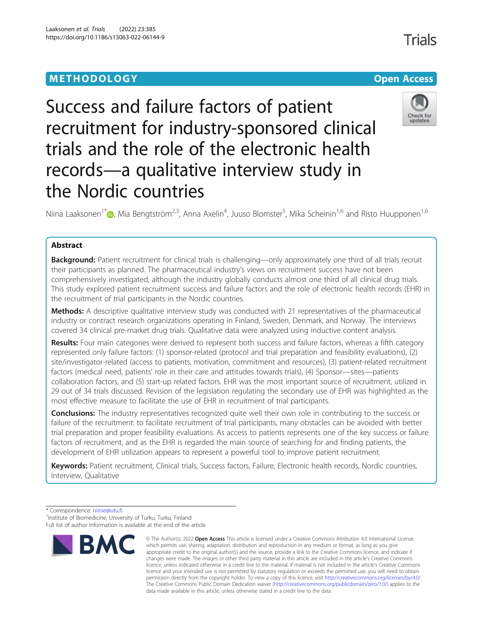# **METHODOLOGY CONSUMING ACCESS CONSUMING ACCESS**

# Success and failure factors of patient recruitment for industry-sponsored clinical trials and the role of the electronic health records—a qualitative interview study in the Nordic countries

Niina Laaksonen<sup>1\*</sup>�[,](http://orcid.org/0000-0001-6764-5397) Mia Bengtström<sup>2,3</sup>, Anna Axelin<sup>4</sup>, Juuso Blomster<sup>5</sup>, Mika Scheinin<sup>1,6</sup> and Risto Huupponen<sup>1,6</sup>

# Abstract

Background: Patient recruitment for clinical trials is challenging—only approximately one third of all trials recruit their participants as planned. The pharmaceutical industry's views on recruitment success have not been comprehensively investigated, although the industry globally conducts almost one third of all clinical drug trials. This study explored patient recruitment success and failure factors and the role of electronic health records (EHR) in the recruitment of trial participants in the Nordic countries.

Methods: A descriptive qualitative interview study was conducted with 21 representatives of the pharmaceutical industry or contract research organizations operating in Finland, Sweden, Denmark, and Norway. The interviews covered 34 clinical pre-market drug trials. Qualitative data were analyzed using inductive content analysis.

Results: Four main categories were derived to represent both success and failure factors, whereas a fifth category represented only failure factors: (1) sponsor-related (protocol and trial preparation and feasibility evaluations), (2) site/investigator-related (access to patients, motivation, commitment and resources), (3) patient-related recruitment factors (medical need, patients' role in their care and attitudes towards trials), (4) Sponsor—sites—patients collaboration factors, and (5) start-up related factors. EHR was the most important source of recruitment, utilized in 29 out of 34 trials discussed. Revision of the legislation regulating the secondary use of EHR was highlighted as the most effective measure to facilitate the use of EHR in recruitment of trial participants.

**Conclusions:** The industry representatives recognized quite well their own role in contributing to the success or failure of the recruitment: to facilitate recruitment of trial participants, many obstacles can be avoided with better trial preparation and proper feasibility evaluations. As access to patients represents one of the key success or failure factors of recruitment, and as the EHR is regarded the main source of searching for and finding patients, the development of EHR utilization appears to represent a powerful tool to improve patient recruitment.

Keywords: Patient recruitment, Clinical trials, Success factors, Failure, Electronic health records, Nordic countries, Interview, Qualitative





<sup>\*</sup> Correspondence: [niinie@utu.fi](mailto:niinie@utu.fi) <sup>1</sup>

<sup>&</sup>lt;sup>1</sup>Institute of Biomedicine, University of Turku, Turku, Finland Full list of author information is available at the end of the article

<sup>©</sup> The Author(s), 2022 **Open Access** This article is licensed under a Creative Commons Attribution 4.0 International License, which permits use, sharing, adaptation, distribution and reproduction in any medium or format, as long as you give appropriate credit to the original author(s) and the source, provide a link to the Creative Commons licence, and indicate if changes were made. The images or other third party material in this article are included in the article's Creative Commons licence, unless indicated otherwise in a credit line to the material. If material is not included in the article's Creative Commons licence and your intended use is not permitted by statutory regulation or exceeds the permitted use, you will need to obtain permission directly from the copyright holder. To view a copy of this licence, visit [http://creativecommons.org/licenses/by/4.0/.](http://creativecommons.org/licenses/by/4.0/) The Creative Commons Public Domain Dedication waiver [\(http://creativecommons.org/publicdomain/zero/1.0/](http://creativecommons.org/publicdomain/zero/1.0/)) applies to the data made available in this article, unless otherwise stated in a credit line to the data.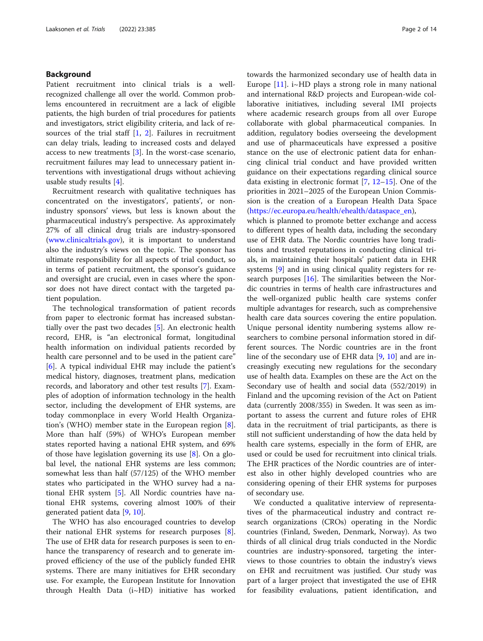# Background

Patient recruitment into clinical trials is a wellrecognized challenge all over the world. Common problems encountered in recruitment are a lack of eligible patients, the high burden of trial procedures for patients and investigators, strict eligibility criteria, and lack of resources of the trial staff  $[1, 2]$  $[1, 2]$  $[1, 2]$ . Failures in recruitment can delay trials, leading to increased costs and delayed access to new treatments [[3\]](#page-12-0). In the worst-case scenario, recruitment failures may lead to unnecessary patient interventions with investigational drugs without achieving usable study results [[4\]](#page-12-0).

Recruitment research with qualitative techniques has concentrated on the investigators', patients', or nonindustry sponsors' views, but less is known about the pharmaceutical industry's perspective. As approximately 27% of all clinical drug trials are industry-sponsored ([www.clinicaltrials.gov](http://www.clinicaltrials.gov)), it is important to understand also the industry's views on the topic. The sponsor has ultimate responsibility for all aspects of trial conduct, so in terms of patient recruitment, the sponsor's guidance and oversight are crucial, even in cases where the sponsor does not have direct contact with the targeted patient population.

The technological transformation of patient records from paper to electronic format has increased substantially over the past two decades [[5\]](#page-12-0). An electronic health record, EHR, is "an electronical format, longitudinal health information on individual patients recorded by health care personnel and to be used in the patient care" [[6\]](#page-12-0). A typical individual EHR may include the patient's medical history, diagnoses, treatment plans, medication records, and laboratory and other test results [\[7](#page-12-0)]. Examples of adoption of information technology in the health sector, including the development of EHR systems, are today commonplace in every World Health Organization's (WHO) member state in the European region [\[8](#page-12-0)]. More than half (59%) of WHO's European member states reported having a national EHR system, and 69% of those have legislation governing its use [[8\]](#page-12-0). On a global level, the national EHR systems are less common; somewhat less than half (57/125) of the WHO member states who participated in the WHO survey had a national EHR system [[5\]](#page-12-0). All Nordic countries have national EHR systems, covering almost 100% of their generated patient data [[9,](#page-12-0) [10\]](#page-12-0).

The WHO has also encouraged countries to develop their national EHR systems for research purposes  $[8]$  $[8]$ . The use of EHR data for research purposes is seen to enhance the transparency of research and to generate improved efficiency of the use of the publicly funded EHR systems. There are many initiatives for EHR secondary use. For example, the European Institute for Innovation through Health Data (i~HD) initiative has worked

towards the harmonized secondary use of health data in Europe  $[11]$  $[11]$ . i~HD plays a strong role in many national and international R&D projects and European-wide collaborative initiatives, including several IMI projects where academic research groups from all over Europe collaborate with global pharmaceutical companies. In addition, regulatory bodies overseeing the development and use of pharmaceuticals have expressed a positive stance on the use of electronic patient data for enhancing clinical trial conduct and have provided written guidance on their expectations regarding clinical source data existing in electronic format [[7,](#page-12-0) [12](#page-12-0)–[15\]](#page-12-0). One of the priorities in 2021–2025 of the European Union Commission is the creation of a European Health Data Space ([https://ec.europa.eu/health/ehealth/dataspace\\_en](https://ec.europa.eu/health/ehealth/dataspace_en)),

which is planned to promote better exchange and access to different types of health data, including the secondary use of EHR data. The Nordic countries have long traditions and trusted reputations in conducting clinical trials, in maintaining their hospitals' patient data in EHR systems [[9\]](#page-12-0) and in using clinical quality registers for research purposes  $[16]$  $[16]$ . The similarities between the Nordic countries in terms of health care infrastructures and the well-organized public health care systems confer multiple advantages for research, such as comprehensive health care data sources covering the entire population. Unique personal identity numbering systems allow researchers to combine personal information stored in different sources. The Nordic countries are in the front line of the secondary use of EHR data [\[9,](#page-12-0) [10](#page-12-0)] and are increasingly executing new regulations for the secondary use of health data. Examples on these are the Act on the Secondary use of health and social data (552/2019) in Finland and the upcoming revision of the Act on Patient data (currently 2008/355) in Sweden. It was seen as important to assess the current and future roles of EHR data in the recruitment of trial participants, as there is still not sufficient understanding of how the data held by health care systems, especially in the form of EHR, are used or could be used for recruitment into clinical trials. The EHR practices of the Nordic countries are of interest also in other highly developed countries who are considering opening of their EHR systems for purposes of secondary use.

We conducted a qualitative interview of representatives of the pharmaceutical industry and contract research organizations (CROs) operating in the Nordic countries (Finland, Sweden, Denmark, Norway). As two thirds of all clinical drug trials conducted in the Nordic countries are industry-sponsored, targeting the interviews to those countries to obtain the industry's views on EHR and recruitment was justified. Our study was part of a larger project that investigated the use of EHR for feasibility evaluations, patient identification, and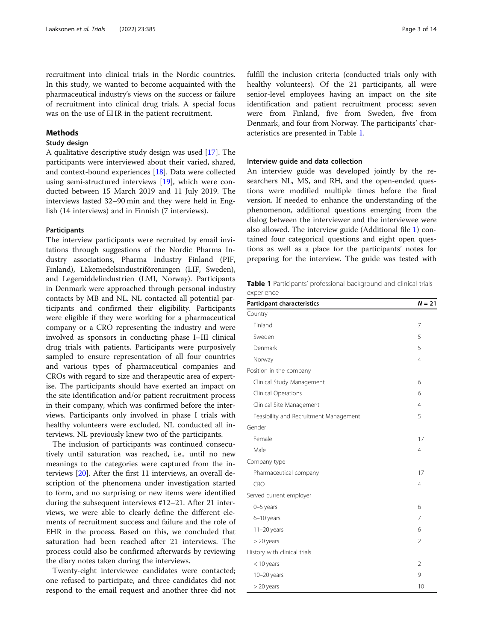recruitment into clinical trials in the Nordic countries. In this study, we wanted to become acquainted with the pharmaceutical industry's views on the success or failure of recruitment into clinical drug trials. A special focus was on the use of EHR in the patient recruitment.

# Methods

#### Study design

A qualitative descriptive study design was used [\[17\]](#page-12-0). The participants were interviewed about their varied, shared, and context-bound experiences [[18](#page-12-0)]. Data were collected using semi-structured interviews [\[19](#page-12-0)], which were conducted between 15 March 2019 and 11 July 2019. The interviews lasted 32–90 min and they were held in English (14 interviews) and in Finnish (7 interviews).

# Participants

The interview participants were recruited by email invitations through suggestions of the Nordic Pharma Industry associations, Pharma Industry Finland (PIF, Finland), Läkemedelsindustriföreningen (LIF, Sweden), and Legemiddelindustrien (LMI, Norway). Participants in Denmark were approached through personal industry contacts by MB and NL. NL contacted all potential participants and confirmed their eligibility. Participants were eligible if they were working for a pharmaceutical company or a CRO representing the industry and were involved as sponsors in conducting phase I–III clinical drug trials with patients. Participants were purposively sampled to ensure representation of all four countries and various types of pharmaceutical companies and CROs with regard to size and therapeutic area of expertise. The participants should have exerted an impact on the site identification and/or patient recruitment process in their company, which was confirmed before the interviews. Participants only involved in phase I trials with healthy volunteers were excluded. NL conducted all interviews. NL previously knew two of the participants.

The inclusion of participants was continued consecutively until saturation was reached, i.e., until no new meanings to the categories were captured from the interviews [\[20](#page-12-0)]. After the first 11 interviews, an overall description of the phenomena under investigation started to form, and no surprising or new items were identified during the subsequent interviews #12–21. After 21 interviews, we were able to clearly define the different elements of recruitment success and failure and the role of EHR in the process. Based on this, we concluded that saturation had been reached after 21 interviews. The process could also be confirmed afterwards by reviewing the diary notes taken during the interviews.

Twenty-eight interviewee candidates were contacted; one refused to participate, and three candidates did not respond to the email request and another three did not fulfill the inclusion criteria (conducted trials only with healthy volunteers). Of the 21 participants, all were senior-level employees having an impact on the site identification and patient recruitment process; seven were from Finland, five from Sweden, five from Denmark, and four from Norway. The participants' characteristics are presented in Table 1.

#### Interview guide and data collection

An interview guide was developed jointly by the researchers NL, MS, and RH, and the open-ended questions were modified multiple times before the final version. If needed to enhance the understanding of the phenomenon, additional questions emerging from the dialog between the interviewer and the interviewee were also allowed. The interview guide (Additional file [1\)](#page-11-0) contained four categorical questions and eight open questions as well as a place for the participants' notes for preparing for the interview. The guide was tested with

Table 1 Participants' professional background and clinical trials experience

| <b>Participant characteristics</b>     | $N = 21$       |
|----------------------------------------|----------------|
| Country                                |                |
| Finland                                | 7              |
| Sweden                                 | 5              |
| Denmark                                | 5              |
| Norway                                 | $\overline{4}$ |
| Position in the company                |                |
| Clinical Study Management              | 6              |
| Clinical Operations                    | 6              |
| Clinical Site Management               | 4              |
| Feasibility and Recruitment Management | 5              |
| Gender                                 |                |
| Female                                 | 17             |
| Male                                   | $\overline{4}$ |
| Company type                           |                |
| Pharmaceutical company                 | 17             |
| CRO                                    | $\overline{4}$ |
| Served current employer                |                |
| 0-5 years                              | 6              |
| 6-10 years                             | 7              |
| $11-20$ years                          | 6              |
| $>$ 20 years                           | $\overline{2}$ |
| History with clinical trials           |                |
| $<$ 10 years                           | $\mathcal{P}$  |
| 10-20 years                            | 9              |
| $>$ 20 years                           | 10             |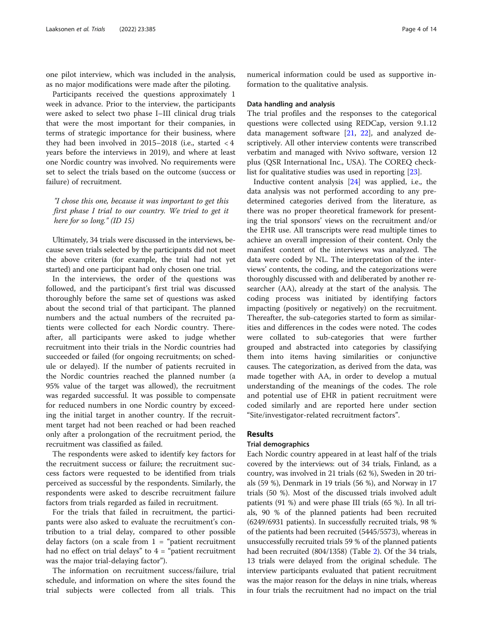one pilot interview, which was included in the analysis, as no major modifications were made after the piloting.

Participants received the questions approximately 1 week in advance. Prior to the interview, the participants were asked to select two phase I–III clinical drug trials that were the most important for their companies, in terms of strategic importance for their business, where they had been involved in  $2015-2018$  (i.e., started  $< 4$ years before the interviews in 2019), and where at least one Nordic country was involved. No requirements were set to select the trials based on the outcome (success or failure) of recruitment.

"I chose this one, because it was important to get this first phase I trial to our country. We tried to get it here for so long." (ID 15)

Ultimately, 34 trials were discussed in the interviews, because seven trials selected by the participants did not meet the above criteria (for example, the trial had not yet started) and one participant had only chosen one trial.

In the interviews, the order of the questions was followed, and the participant's first trial was discussed thoroughly before the same set of questions was asked about the second trial of that participant. The planned numbers and the actual numbers of the recruited patients were collected for each Nordic country. Thereafter, all participants were asked to judge whether recruitment into their trials in the Nordic countries had succeeded or failed (for ongoing recruitments; on schedule or delayed). If the number of patients recruited in the Nordic countries reached the planned number (a 95% value of the target was allowed), the recruitment was regarded successful. It was possible to compensate for reduced numbers in one Nordic country by exceeding the initial target in another country. If the recruitment target had not been reached or had been reached only after a prolongation of the recruitment period, the recruitment was classified as failed.

The respondents were asked to identify key factors for the recruitment success or failure; the recruitment success factors were requested to be identified from trials perceived as successful by the respondents. Similarly, the respondents were asked to describe recruitment failure factors from trials regarded as failed in recruitment.

For the trials that failed in recruitment, the participants were also asked to evaluate the recruitment's contribution to a trial delay, compared to other possible delay factors (on a scale from  $1 =$  "patient recruitment" had no effect on trial delays" to  $4 =$  "patient recruitment was the major trial-delaying factor").

The information on recruitment success/failure, trial schedule, and information on where the sites found the trial subjects were collected from all trials. This numerical information could be used as supportive information to the qualitative analysis.

#### Data handling and analysis

The trial profiles and the responses to the categorical questions were collected using REDCap, version 9.1.12 data management software [[21](#page-13-0), [22](#page-13-0)], and analyzed descriptively. All other interview contents were transcribed verbatim and managed with Nvivo software, version 12 plus (QSR International Inc., USA). The COREQ checklist for qualitative studies was used in reporting [\[23](#page-13-0)].

Inductive content analysis [[24\]](#page-13-0) was applied, i.e., the data analysis was not performed according to any predetermined categories derived from the literature, as there was no proper theoretical framework for presenting the trial sponsors' views on the recruitment and/or the EHR use. All transcripts were read multiple times to achieve an overall impression of their content. Only the manifest content of the interviews was analyzed. The data were coded by NL. The interpretation of the interviews' contents, the coding, and the categorizations were thoroughly discussed with and deliberated by another researcher (AA), already at the start of the analysis. The coding process was initiated by identifying factors impacting (positively or negatively) on the recruitment. Thereafter, the sub-categories started to form as similarities and differences in the codes were noted. The codes were collated to sub-categories that were further grouped and abstracted into categories by classifying them into items having similarities or conjunctive causes. The categorization, as derived from the data, was made together with AA, in order to develop a mutual understanding of the meanings of the codes. The role and potential use of EHR in patient recruitment were coded similarly and are reported here under section "Site/investigator-related recruitment factors".

# Results

# Trial demographics

Each Nordic country appeared in at least half of the trials covered by the interviews: out of 34 trials, Finland, as a country, was involved in 21 trials (62 %), Sweden in 20 trials (59 %), Denmark in 19 trials (56 %), and Norway in 17 trials (50 %). Most of the discussed trials involved adult patients (91 %) and were phase III trials (65 %). In all trials, 90 % of the planned patients had been recruited (6249/6931 patients). In successfully recruited trials, 98 % of the patients had been recruited (5445/5573), whereas in unsuccessfully recruited trials 59 % of the planned patients had been recruited (804/1358) (Table [2](#page-4-0)). Of the 34 trials, 13 trials were delayed from the original schedule. The interview participants evaluated that patient recruitment was the major reason for the delays in nine trials, whereas in four trials the recruitment had no impact on the trial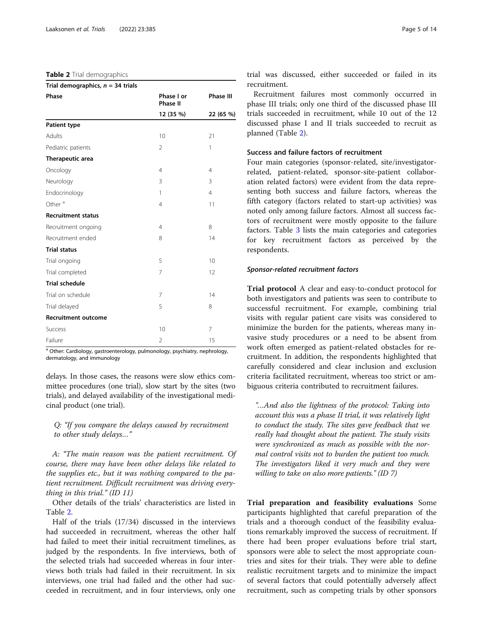#### <span id="page-4-0"></span>Table 2 Trial demographics

| Trial demographics, $n = 34$ trials |                               |                               |  |
|-------------------------------------|-------------------------------|-------------------------------|--|
| Phase                               | Phase I or<br><b>Phase II</b> | <b>Phase III</b><br>22 (65 %) |  |
|                                     | 12 (35 %)                     |                               |  |
| Patient type                        |                               |                               |  |
| Adults                              | 10                            | 21                            |  |
| Pediatric patients                  | $\mathfrak{D}$                | 1                             |  |
| Therapeutic area                    |                               |                               |  |
| Oncology                            | $\overline{4}$                | $\overline{4}$                |  |
| Neurology                           | 3                             | 3                             |  |
| Endocrinology                       | 1                             | $\overline{4}$                |  |
| Other <sup>a</sup>                  | $\overline{4}$                | 11                            |  |
| <b>Recruitment status</b>           |                               |                               |  |
| Recruitment ongoing                 | $\overline{4}$                | 8                             |  |
| Recruitment ended                   | 8                             | 14                            |  |
| <b>Trial status</b>                 |                               |                               |  |
| Trial ongoing                       | 5                             | 10                            |  |
| Trial completed                     | 7                             | 12                            |  |
| <b>Trial schedule</b>               |                               |                               |  |
| Trial on schedule                   | $\overline{7}$                | 14                            |  |
| Trial delayed                       | 5                             | 8                             |  |
| <b>Recruitment outcome</b>          |                               |                               |  |
| Success                             | 10                            | 7                             |  |
| Failure                             | 2                             | 15                            |  |
|                                     |                               |                               |  |

<sup>a</sup> Other: Cardiology, gastroenterology, pulmonology, psychiatry, nephrology, dermatology, and immunology

delays. In those cases, the reasons were slow ethics committee procedures (one trial), slow start by the sites (two trials), and delayed availability of the investigational medicinal product (one trial).

Q: "If you compare the delays caused by recruitment to other study delays…"

A: "The main reason was the patient recruitment. Of course, there may have been other delays like related to the supplies etc., but it was nothing compared to the patient recruitment. Difficult recruitment was driving everything in this trial." (ID 11)

Other details of the trials' characteristics are listed in Table 2.

Half of the trials (17/34) discussed in the interviews had succeeded in recruitment, whereas the other half had failed to meet their initial recruitment timelines, as judged by the respondents. In five interviews, both of the selected trials had succeeded whereas in four interviews both trials had failed in their recruitment. In six interviews, one trial had failed and the other had succeeded in recruitment, and in four interviews, only one

trial was discussed, either succeeded or failed in its recruitment.

Recruitment failures most commonly occurred in phase III trials; only one third of the discussed phase III trials succeeded in recruitment, while 10 out of the 12 discussed phase I and II trials succeeded to recruit as planned (Table 2).

# Success and failure factors of recruitment

Four main categories (sponsor-related, site/investigatorrelated, patient-related, sponsor-site-patient collaboration related factors) were evident from the data representing both success and failure factors, whereas the fifth category (factors related to start-up activities) was noted only among failure factors. Almost all success factors of recruitment were mostly opposite to the failure factors. Table [3](#page-5-0) lists the main categories and categories for key recruitment factors as perceived by the respondents.

#### Sponsor-related recruitment factors

Trial protocol A clear and easy-to-conduct protocol for both investigators and patients was seen to contribute to successful recruitment. For example, combining trial visits with regular patient care visits was considered to minimize the burden for the patients, whereas many invasive study procedures or a need to be absent from work often emerged as patient-related obstacles for recruitment. In addition, the respondents highlighted that carefully considered and clear inclusion and exclusion criteria facilitated recruitment, whereas too strict or ambiguous criteria contributed to recruitment failures.

"…And also the lightness of the protocol: Taking into account this was a phase II trial, it was relatively light to conduct the study. The sites gave feedback that we really had thought about the patient. The study visits were synchronized as much as possible with the normal control visits not to burden the patient too much. The investigators liked it very much and they were willing to take on also more patients." (ID 7)

Trial preparation and feasibility evaluations Some participants highlighted that careful preparation of the trials and a thorough conduct of the feasibility evaluations remarkably improved the success of recruitment. If there had been proper evaluations before trial start, sponsors were able to select the most appropriate countries and sites for their trials. They were able to define realistic recruitment targets and to minimize the impact of several factors that could potentially adversely affect recruitment, such as competing trials by other sponsors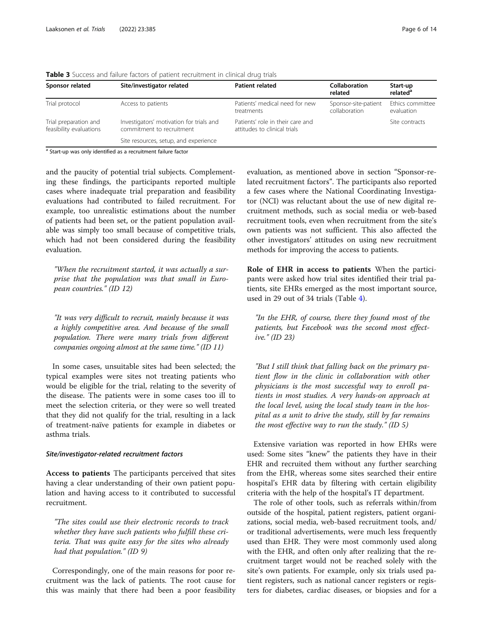| Sponsor related                                  | Site/investigator related                                             | <b>Patient related</b>                                           | <b>Collaboration</b><br>related       | Start-up<br>related <sup>a</sup> |
|--------------------------------------------------|-----------------------------------------------------------------------|------------------------------------------------------------------|---------------------------------------|----------------------------------|
| Trial protocol                                   | Access to patients                                                    | Patients' medical need for new<br>treatments                     | Sponsor-site-patient<br>collaboration | Ethics committee<br>evaluation   |
| Trial preparation and<br>feasibility evaluations | Investigators' motivation for trials and<br>commitment to recruitment | Patients' role in their care and<br>attitudes to clinical trials |                                       | Site contracts                   |
|                                                  | Site resources, setup, and experience                                 |                                                                  |                                       |                                  |

<span id="page-5-0"></span>Table 3 Success and failure factors of patient recruitment in clinical drug trials

Start-up was only identified as a recruitment failure factor

and the paucity of potential trial subjects. Complementing these findings, the participants reported multiple cases where inadequate trial preparation and feasibility evaluations had contributed to failed recruitment. For example, too unrealistic estimations about the number of patients had been set, or the patient population available was simply too small because of competitive trials, which had not been considered during the feasibility evaluation.

"When the recruitment started, it was actually a surprise that the population was that small in European countries." (ID 12)

"It was very difficult to recruit, mainly because it was a highly competitive area. And because of the small population. There were many trials from different companies ongoing almost at the same time." (ID 11)

In some cases, unsuitable sites had been selected; the typical examples were sites not treating patients who would be eligible for the trial, relating to the severity of the disease. The patients were in some cases too ill to meet the selection criteria, or they were so well treated that they did not qualify for the trial, resulting in a lack of treatment-naïve patients for example in diabetes or asthma trials.

#### Site/investigator-related recruitment factors

Access to patients The participants perceived that sites having a clear understanding of their own patient population and having access to it contributed to successful recruitment.

"The sites could use their electronic records to track whether they have such patients who fulfill these criteria. That was quite easy for the sites who already had that population." (ID 9)

Correspondingly, one of the main reasons for poor recruitment was the lack of patients. The root cause for this was mainly that there had been a poor feasibility

evaluation, as mentioned above in section "Sponsor-related recruitment factors". The participants also reported a few cases where the National Coordinating Investigator (NCI) was reluctant about the use of new digital recruitment methods, such as social media or web-based recruitment tools, even when recruitment from the site's own patients was not sufficient. This also affected the other investigators' attitudes on using new recruitment methods for improving the access to patients.

Role of EHR in access to patients When the participants were asked how trial sites identified their trial patients, site EHRs emerged as the most important source, used in 29 out of 34 trials (Table [4](#page-6-0)).

"In the EHR, of course, there they found most of the patients, but Facebook was the second most effective." (ID 23)

"But I still think that falling back on the primary patient flow in the clinic in collaboration with other physicians is the most successful way to enroll patients in most studies. A very hands-on approach at the local level, using the local study team in the hospital as a unit to drive the study, still by far remains the most effective way to run the study."  $(ID 5)$ 

Extensive variation was reported in how EHRs were used: Some sites "knew" the patients they have in their EHR and recruited them without any further searching from the EHR, whereas some sites searched their entire hospital's EHR data by filtering with certain eligibility criteria with the help of the hospital's IT department.

The role of other tools, such as referrals within/from outside of the hospital, patient registers, patient organizations, social media, web-based recruitment tools, and/ or traditional advertisements, were much less frequently used than EHR. They were most commonly used along with the EHR, and often only after realizing that the recruitment target would not be reached solely with the site's own patients. For example, only six trials used patient registers, such as national cancer registers or registers for diabetes, cardiac diseases, or biopsies and for a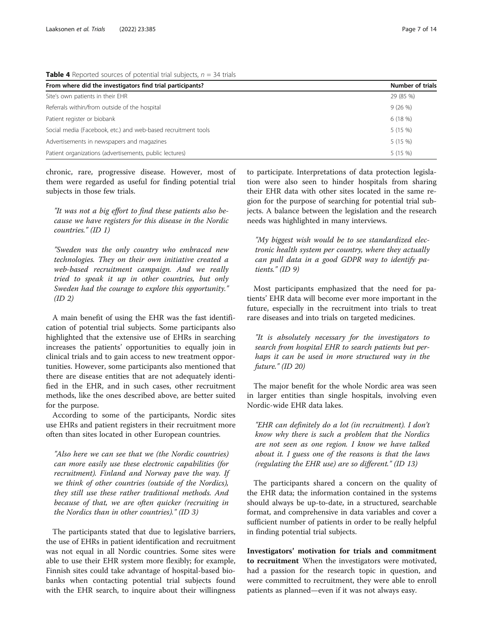| From where did the investigators find trial participants?     | <b>Number of trials</b> |
|---------------------------------------------------------------|-------------------------|
| Site's own patients in their EHR                              | 29 (85 %)               |
| Referrals within/from outside of the hospital                 | 9(26%)                  |
| Patient register or biobank                                   | 6(18%)                  |
| Social media (Facebook, etc.) and web-based recruitment tools | 5(15%)                  |
| Advertisements in newspapers and magazines                    | 5(15%)                  |
| Patient organizations (advertisements, public lectures)       | 5(15%)                  |

<span id="page-6-0"></span>**Table 4** Reported sources of potential trial subjects,  $n = 34$  trials

chronic, rare, progressive disease. However, most of them were regarded as useful for finding potential trial subjects in those few trials.

"It was not a big effort to find these patients also because we have registers for this disease in the Nordic countries." (ID 1)

"Sweden was the only country who embraced new technologies. They on their own initiative created a web-based recruitment campaign. And we really tried to speak it up in other countries, but only Sweden had the courage to explore this opportunity."  $(ID 2)$ 

A main benefit of using the EHR was the fast identification of potential trial subjects. Some participants also highlighted that the extensive use of EHRs in searching increases the patients' opportunities to equally join in clinical trials and to gain access to new treatment opportunities. However, some participants also mentioned that there are disease entities that are not adequately identified in the EHR, and in such cases, other recruitment methods, like the ones described above, are better suited for the purpose.

According to some of the participants, Nordic sites use EHRs and patient registers in their recruitment more often than sites located in other European countries.

"Also here we can see that we (the Nordic countries) can more easily use these electronic capabilities (for recruitment). Finland and Norway pave the way. If we think of other countries (outside of the Nordics), they still use these rather traditional methods. And because of that, we are often quicker (recruiting in the Nordics than in other countries)." (ID 3)

The participants stated that due to legislative barriers, the use of EHRs in patient identification and recruitment was not equal in all Nordic countries. Some sites were able to use their EHR system more flexibly; for example, Finnish sites could take advantage of hospital-based biobanks when contacting potential trial subjects found with the EHR search, to inquire about their willingness

to participate. Interpretations of data protection legislation were also seen to hinder hospitals from sharing their EHR data with other sites located in the same region for the purpose of searching for potential trial subjects. A balance between the legislation and the research needs was highlighted in many interviews.

"My biggest wish would be to see standardized electronic health system per country, where they actually can pull data in a good GDPR way to identify patients." (ID 9)

Most participants emphasized that the need for patients' EHR data will become ever more important in the future, especially in the recruitment into trials to treat rare diseases and into trials on targeted medicines.

"It is absolutely necessary for the investigators to search from hospital EHR to search patients but perhaps it can be used in more structured way in the future." (ID 20)

The major benefit for the whole Nordic area was seen in larger entities than single hospitals, involving even Nordic-wide EHR data lakes.

"EHR can definitely do a lot (in recruitment). I don't know why there is such a problem that the Nordics are not seen as one region. I know we have talked about it. I guess one of the reasons is that the laws (regulating the EHR use) are so different." (ID 13)

The participants shared a concern on the quality of the EHR data; the information contained in the systems should always be up-to-date, in a structured, searchable format, and comprehensive in data variables and cover a sufficient number of patients in order to be really helpful in finding potential trial subjects.

Investigators' motivation for trials and commitment to recruitment When the investigators were motivated, had a passion for the research topic in question, and were committed to recruitment, they were able to enroll patients as planned—even if it was not always easy.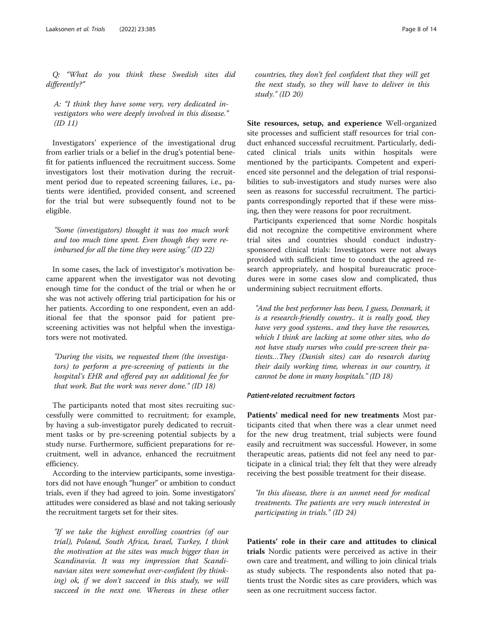Q: "What do you think these Swedish sites did differently?"

A: "I think they have some very, very dedicated investigators who were deeply involved in this disease."  $(ID 11)$ 

Investigators' experience of the investigational drug from earlier trials or a belief in the drug's potential benefit for patients influenced the recruitment success. Some investigators lost their motivation during the recruitment period due to repeated screening failures, i.e., patients were identified, provided consent, and screened for the trial but were subsequently found not to be eligible.

"Some (investigators) thought it was too much work and too much time spent. Even though they were reimbursed for all the time they were using." (ID 22)

In some cases, the lack of investigator's motivation became apparent when the investigator was not devoting enough time for the conduct of the trial or when he or she was not actively offering trial participation for his or her patients. According to one respondent, even an additional fee that the sponsor paid for patient prescreening activities was not helpful when the investigators were not motivated.

"During the visits, we requested them (the investigators) to perform a pre-screening of patients in the hospital's EHR and offered pay an additional fee for that work. But the work was never done." (ID 18)

The participants noted that most sites recruiting successfully were committed to recruitment; for example, by having a sub-investigator purely dedicated to recruitment tasks or by pre-screening potential subjects by a study nurse. Furthermore, sufficient preparations for recruitment, well in advance, enhanced the recruitment efficiency.

According to the interview participants, some investigators did not have enough "hunger" or ambition to conduct trials, even if they had agreed to join. Some investigators' attitudes were considered as blasé and not taking seriously the recruitment targets set for their sites.

"If we take the highest enrolling countries (of our trial), Poland, South Africa, Israel, Turkey, I think the motivation at the sites was much bigger than in Scandinavia. It was my impression that Scandinavian sites were somewhat over-confident (by thinking) ok, if we don't succeed in this study, we will succeed in the next one. Whereas in these other

countries, they don't feel confident that they will get the next study, so they will have to deliver in this study." (ID 20)

Site resources, setup, and experience Well-organized site processes and sufficient staff resources for trial conduct enhanced successful recruitment. Particularly, dedicated clinical trials units within hospitals were mentioned by the participants. Competent and experienced site personnel and the delegation of trial responsibilities to sub-investigators and study nurses were also seen as reasons for successful recruitment. The participants correspondingly reported that if these were missing, then they were reasons for poor recruitment.

Participants experienced that some Nordic hospitals did not recognize the competitive environment where trial sites and countries should conduct industrysponsored clinical trials: Investigators were not always provided with sufficient time to conduct the agreed research appropriately, and hospital bureaucratic procedures were in some cases slow and complicated, thus undermining subject recruitment efforts.

"And the best performer has been, I guess, Denmark, it is a research-friendly country.. it is really good, they have very good systems.. and they have the resources, which I think are lacking at some other sites, who do not have study nurses who could pre-screen their patients…They (Danish sites) can do research during their daily working time, whereas in our country, it cannot be done in many hospitals." (ID 18)

# Patient-related recruitment factors

Patients' medical need for new treatments Most participants cited that when there was a clear unmet need for the new drug treatment, trial subjects were found easily and recruitment was successful. However, in some therapeutic areas, patients did not feel any need to participate in a clinical trial; they felt that they were already receiving the best possible treatment for their disease.

"In this disease, there is an unmet need for medical treatments. The patients are very much interested in participating in trials." (ID 24)

Patients' role in their care and attitudes to clinical trials Nordic patients were perceived as active in their own care and treatment, and willing to join clinical trials as study subjects. The respondents also noted that patients trust the Nordic sites as care providers, which was seen as one recruitment success factor.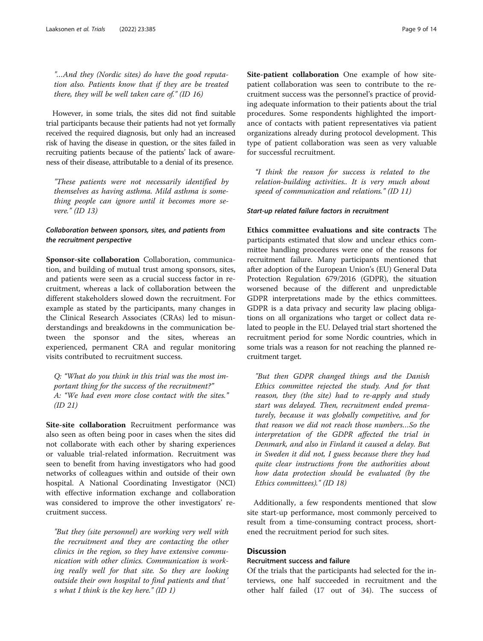"…And they (Nordic sites) do have the good reputation also. Patients know that if they are be treated there, they will be well taken care of." (ID 16)

However, in some trials, the sites did not find suitable trial participants because their patients had not yet formally received the required diagnosis, but only had an increased risk of having the disease in question, or the sites failed in recruiting patients because of the patients' lack of awareness of their disease, attributable to a denial of its presence.

"These patients were not necessarily identified by themselves as having asthma. Mild asthma is something people can ignore until it becomes more severe." (ID 13)

# Collaboration between sponsors, sites, and patients from the recruitment perspective

Sponsor-site collaboration Collaboration, communication, and building of mutual trust among sponsors, sites, and patients were seen as a crucial success factor in recruitment, whereas a lack of collaboration between the different stakeholders slowed down the recruitment. For example as stated by the participants, many changes in the Clinical Research Associates (CRAs) led to misunderstandings and breakdowns in the communication between the sponsor and the sites, whereas an experienced, permanent CRA and regular monitoring visits contributed to recruitment success.

Q: "What do you think in this trial was the most important thing for the success of the recruitment?" A: "We had even more close contact with the sites." (ID 21)

Site-site collaboration Recruitment performance was also seen as often being poor in cases when the sites did not collaborate with each other by sharing experiences or valuable trial-related information. Recruitment was seen to benefit from having investigators who had good networks of colleagues within and outside of their own hospital. A National Coordinating Investigator (NCI) with effective information exchange and collaboration was considered to improve the other investigators' recruitment success.

"But they (site personnel) are working very well with the recruitment and they are contacting the other clinics in the region, so they have extensive communication with other clinics. Communication is working really well for that site. So they are looking outside their own hospital to find patients and that´ s what I think is the key here." (ID 1)

Site-patient collaboration One example of how sitepatient collaboration was seen to contribute to the recruitment success was the personnel's practice of providing adequate information to their patients about the trial procedures. Some respondents highlighted the importance of contacts with patient representatives via patient organizations already during protocol development. This type of patient collaboration was seen as very valuable for successful recruitment.

"I think the reason for success is related to the relation-building activities.. It is very much about speed of communication and relations." (ID 11)

### Start-up related failure factors in recruitment

Ethics committee evaluations and site contracts The participants estimated that slow and unclear ethics committee handling procedures were one of the reasons for recruitment failure. Many participants mentioned that after adoption of the European Union's (EU) General Data Protection Regulation 679/2016 (GDPR), the situation worsened because of the different and unpredictable GDPR interpretations made by the ethics committees. GDPR is a data privacy and security law placing obligations on all organizations who target or collect data related to people in the EU. Delayed trial start shortened the recruitment period for some Nordic countries, which in some trials was a reason for not reaching the planned recruitment target.

"But then GDPR changed things and the Danish Ethics committee rejected the study. And for that reason, they (the site) had to re-apply and study start was delayed. Then, recruitment ended prematurely, because it was globally competitive, and for that reason we did not reach those numbers…So the interpretation of the GDPR affected the trial in Denmark, and also in Finland it caused a delay. But in Sweden it did not, I guess because there they had quite clear instructions from the authorities about how data protection should be evaluated (by the Ethics committees)." (ID 18)

Additionally, a few respondents mentioned that slow site start-up performance, most commonly perceived to result from a time-consuming contract process, shortened the recruitment period for such sites.

# **Discussion**

# Recruitment success and failure

Of the trials that the participants had selected for the interviews, one half succeeded in recruitment and the other half failed (17 out of 34). The success of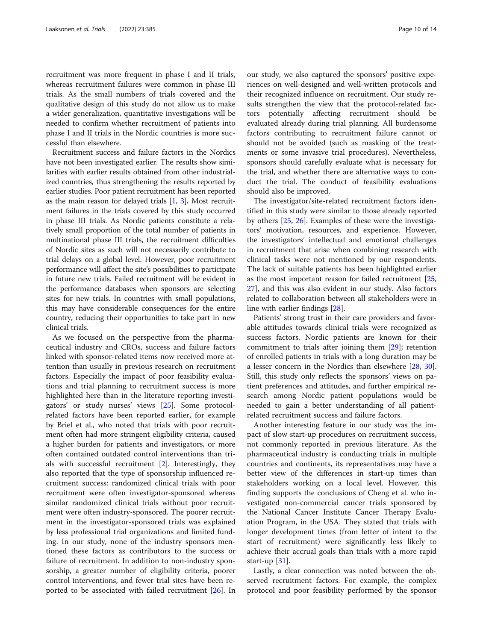recruitment was more frequent in phase I and II trials, whereas recruitment failures were common in phase III trials. As the small numbers of trials covered and the qualitative design of this study do not allow us to make a wider generalization, quantitative investigations will be needed to confirm whether recruitment of patients into phase I and II trials in the Nordic countries is more successful than elsewhere.

Recruitment success and failure factors in the Nordics have not been investigated earlier. The results show similarities with earlier results obtained from other industrialized countries, thus strengthening the results reported by earlier studies. Poor patient recruitment has been reported as the main reason for delayed trials [\[1,](#page-12-0) [3](#page-12-0)]. Most recruitment failures in the trials covered by this study occurred in phase III trials. As Nordic patients constitute a relatively small proportion of the total number of patients in multinational phase III trials, the recruitment difficulties of Nordic sites as such will not necessarily contribute to trial delays on a global level. However, poor recruitment performance will affect the site's possibilities to participate in future new trials. Failed recruitment will be evident in the performance databases when sponsors are selecting sites for new trials. In countries with small populations, this may have considerable consequences for the entire country, reducing their opportunities to take part in new clinical trials.

As we focused on the perspective from the pharmaceutical industry and CROs, success and failure factors linked with sponsor-related items now received more attention than usually in previous research on recruitment factors. Especially the impact of poor feasibility evaluations and trial planning to recruitment success is more highlighted here than in the literature reporting investigators' or study nurses' views [\[25](#page-13-0)]. Some protocolrelated factors have been reported earlier, for example by Briel et al., who noted that trials with poor recruitment often had more stringent eligibility criteria, caused a higher burden for patients and investigators, or more often contained outdated control interventions than trials with successful recruitment [\[2](#page-12-0)]. Interestingly, they also reported that the type of sponsorship influenced recruitment success: randomized clinical trials with poor recruitment were often investigator-sponsored whereas similar randomized clinical trials without poor recruitment were often industry-sponsored. The poorer recruitment in the investigator-sponsored trials was explained by less professional trial organizations and limited funding. In our study, none of the industry sponsors mentioned these factors as contributors to the success or failure of recruitment. In addition to non-industry sponsorship, a greater number of eligibility criteria, poorer control interventions, and fewer trial sites have been reported to be associated with failed recruitment [[26](#page-13-0)]. In our study, we also captured the sponsors' positive experiences on well-designed and well-written protocols and their recognized influence on recruitment. Our study results strengthen the view that the protocol-related factors potentially affecting recruitment should be evaluated already during trial planning. All burdensome factors contributing to recruitment failure cannot or should not be avoided (such as masking of the treatments or some invasive trial procedures). Nevertheless, sponsors should carefully evaluate what is necessary for the trial, and whether there are alternative ways to conduct the trial. The conduct of feasibility evaluations should also be improved.

The investigator/site-related recruitment factors identified in this study were similar to those already reported by others [\[25](#page-13-0), [26](#page-13-0)]. Examples of these were the investigators' motivation, resources, and experience. However, the investigators' intellectual and emotional challenges in recruitment that arise when combining research with clinical tasks were not mentioned by our respondents. The lack of suitable patients has been highlighted earlier as the most important reason for failed recruitment [[25](#page-13-0), [27\]](#page-13-0), and this was also evident in our study. Also factors related to collaboration between all stakeholders were in line with earlier findings [[28](#page-13-0)].

Patients' strong trust in their care providers and favorable attitudes towards clinical trials were recognized as success factors. Nordic patients are known for their commitment to trials after joining them [[29\]](#page-13-0); retention of enrolled patients in trials with a long duration may be a lesser concern in the Nordics than elsewhere [[28,](#page-13-0) [30](#page-13-0)]. Still, this study only reflects the sponsors' views on patient preferences and attitudes, and further empirical research among Nordic patient populations would be needed to gain a better understanding of all patientrelated recruitment success and failure factors.

Another interesting feature in our study was the impact of slow start-up procedures on recruitment success, not commonly reported in previous literature. As the pharmaceutical industry is conducting trials in multiple countries and continents, its representatives may have a better view of the differences in start-up times than stakeholders working on a local level. However, this finding supports the conclusions of Cheng et al. who investigated non-commercial cancer trials sponsored by the National Cancer Institute Cancer Therapy Evaluation Program, in the USA. They stated that trials with longer development times (from letter of intent to the start of recruitment) were significantly less likely to achieve their accrual goals than trials with a more rapid start-up [\[31\]](#page-13-0).

Lastly, a clear connection was noted between the observed recruitment factors. For example, the complex protocol and poor feasibility performed by the sponsor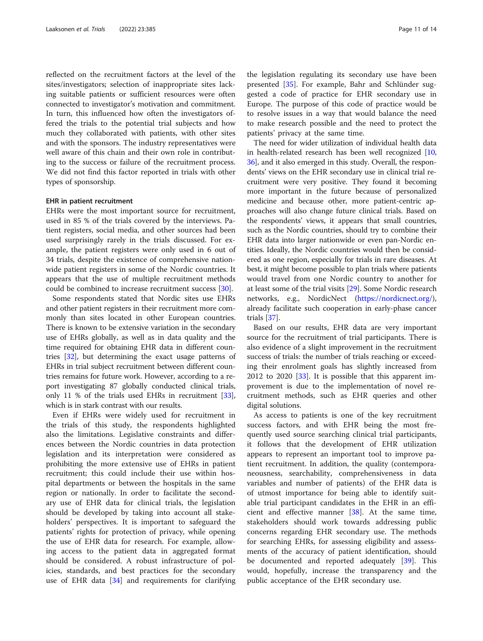reflected on the recruitment factors at the level of the sites/investigators; selection of inappropriate sites lacking suitable patients or sufficient resources were often connected to investigator's motivation and commitment. In turn, this influenced how often the investigators offered the trials to the potential trial subjects and how much they collaborated with patients, with other sites and with the sponsors. The industry representatives were well aware of this chain and their own role in contributing to the success or failure of the recruitment process. We did not find this factor reported in trials with other types of sponsorship.

## EHR in patient recruitment

EHRs were the most important source for recruitment, used in 85 % of the trials covered by the interviews. Patient registers, social media, and other sources had been used surprisingly rarely in the trials discussed. For example, the patient registers were only used in 6 out of 34 trials, despite the existence of comprehensive nationwide patient registers in some of the Nordic countries. It appears that the use of multiple recruitment methods could be combined to increase recruitment success [\[30](#page-13-0)].

Some respondents stated that Nordic sites use EHRs and other patient registers in their recruitment more commonly than sites located in other European countries. There is known to be extensive variation in the secondary use of EHRs globally, as well as in data quality and the time required for obtaining EHR data in different countries [\[32\]](#page-13-0), but determining the exact usage patterns of EHRs in trial subject recruitment between different countries remains for future work. However, according to a report investigating 87 globally conducted clinical trials, only 11 % of the trials used EHRs in recruitment [[33](#page-13-0)], which is in stark contrast with our results.

Even if EHRs were widely used for recruitment in the trials of this study, the respondents highlighted also the limitations. Legislative constraints and differences between the Nordic countries in data protection legislation and its interpretation were considered as prohibiting the more extensive use of EHRs in patient recruitment; this could include their use within hospital departments or between the hospitals in the same region or nationally. In order to facilitate the secondary use of EHR data for clinical trials, the legislation should be developed by taking into account all stakeholders' perspectives. It is important to safeguard the patients' rights for protection of privacy, while opening the use of EHR data for research. For example, allowing access to the patient data in aggregated format should be considered. A robust infrastructure of policies, standards, and best practices for the secondary use of EHR data  $[34]$  $[34]$  and requirements for clarifying the legislation regulating its secondary use have been presented [\[35](#page-13-0)]. For example, Bahr and Schlünder suggested a code of practice for EHR secondary use in Europe. The purpose of this code of practice would be to resolve issues in a way that would balance the need to make research possible and the need to protect the patients' privacy at the same time.

The need for wider utilization of individual health data in health-related research has been well recognized [[10](#page-12-0), [36](#page-13-0)], and it also emerged in this study. Overall, the respondents' views on the EHR secondary use in clinical trial recruitment were very positive. They found it becoming more important in the future because of personalized medicine and because other, more patient-centric approaches will also change future clinical trials. Based on the respondents' views, it appears that small countries, such as the Nordic countries, should try to combine their EHR data into larger nationwide or even pan-Nordic entities. Ideally, the Nordic countries would then be considered as one region, especially for trials in rare diseases. At best, it might become possible to plan trials where patients would travel from one Nordic country to another for at least some of the trial visits [[29\]](#page-13-0). Some Nordic research networks, e.g., NordicNect (<https://nordicnect.org/>), already facilitate such cooperation in early-phase cancer trials [[37](#page-13-0)].

Based on our results, EHR data are very important source for the recruitment of trial participants. There is also evidence of a slight improvement in the recruitment success of trials: the number of trials reaching or exceeding their enrolment goals has slightly increased from 2012 to 2020 [[33\]](#page-13-0). It is possible that this apparent improvement is due to the implementation of novel recruitment methods, such as EHR queries and other digital solutions.

As access to patients is one of the key recruitment success factors, and with EHR being the most frequently used source searching clinical trial participants, it follows that the development of EHR utilization appears to represent an important tool to improve patient recruitment. In addition, the quality (contemporaneousness, searchability, comprehensiveness in data variables and number of patients) of the EHR data is of utmost importance for being able to identify suitable trial participant candidates in the EHR in an efficient and effective manner [[38](#page-13-0)]. At the same time, stakeholders should work towards addressing public concerns regarding EHR secondary use. The methods for searching EHRs, for assessing eligibility and assessments of the accuracy of patient identification, should be documented and reported adequately [[39\]](#page-13-0). This would, hopefully, increase the transparency and the public acceptance of the EHR secondary use.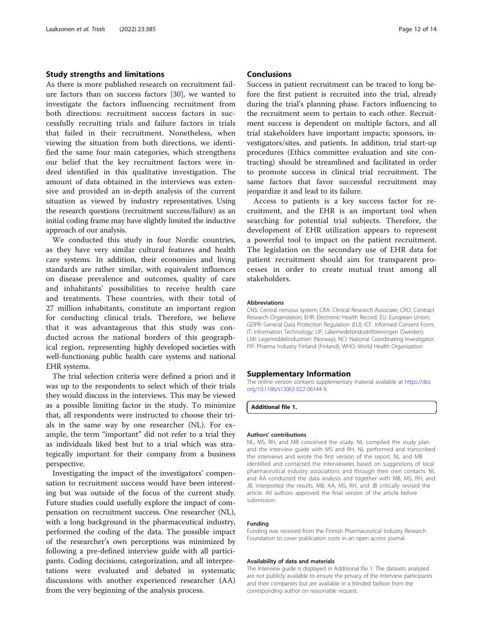# <span id="page-11-0"></span>Study strengths and limitations

As there is more published research on recruitment failure factors than on success factors [\[30](#page-13-0)], we wanted to investigate the factors influencing recruitment from both directions: recruitment success factors in successfully recruiting trials and failure factors in trials that failed in their recruitment. Nonetheless, when viewing the situation from both directions, we identified the same four main categories, which strengthens our belief that the key recruitment factors were indeed identified in this qualitative investigation. The amount of data obtained in the interviews was extensive and provided an in-depth analysis of the current situation as viewed by industry representatives. Using the research questions (recruitment success/failure) as an initial coding frame may have slightly limited the inductive approach of our analysis.

We conducted this study in four Nordic countries, as they have very similar cultural features and health care systems. In addition, their economies and living standards are rather similar, with equivalent influences on disease prevalence and outcomes, quality of care and inhabitants' possibilities to receive health care and treatments. These countries, with their total of 27 million inhabitants, constitute an important region for conducting clinical trials. Therefore, we believe that it was advantageous that this study was conducted across the national borders of this geographical region, representing highly developed societies with well-functioning public health care systems and national EHR systems.

The trial selection criteria were defined a priori and it was up to the respondents to select which of their trials they would discuss in the interviews. This may be viewed as a possible limiting factor in the study. To minimize that, all respondents were instructed to choose their trials in the same way by one researcher (NL). For example, the term "important" did not refer to a trial they as individuals liked best but to a trial which was strategically important for their company from a business perspective.

Investigating the impact of the investigators' compensation to recruitment success would have been interesting but was outside of the focus of the current study. Future studies could usefully explore the impact of compensation on recruitment success. One researcher (NL), with a long background in the pharmaceutical industry, performed the coding of the data. The possible impact of the researcher's own perceptions was minimized by following a pre-defined interview guide with all participants. Coding decisions, categorization, and all interpretations were evaluated and debated in systematic discussions with another experienced researcher (AA) from the very beginning of the analysis process.

#### **Conclusions**

Success in patient recruitment can be traced to long before the first patient is recruited into the trial, already during the trial's planning phase. Factors influencing to the recruitment seem to pertain to each other. Recruitment success is dependent on multiple factors, and all trial stakeholders have important impacts; sponsors, investigators/sites, and patients. In addition, trial start-up procedures (Ethics committee evaluation and site contracting) should be streamlined and facilitated in order to promote success in clinical trial recruitment. The same factors that favor successful recruitment may jeopardize it and lead to its failure.

Access to patients is a key success factor for recruitment, and the EHR is an important tool when searching for potential trial subjects. Therefore, the development of EHR utilization appears to represent a powerful tool to impact on the patient recruitment. The legislation on the secondary use of EHR data for patient recruitment should aim for transparent processes in order to create mutual trust among all stakeholders.

#### Abbreviations

CNS: Central nervous system; CRA: Clinical Research Associate; CRO: Contract Research Organization; EHR: Electronic Health Record; EU: European Union; GDPR: General Data Protection Regulation (EU); ICF: Informed Consent Form; IT: Information Technology; LIF: Läkemedelsindustriföreningen (Sweden); LMI: Legemiddelindustrien (Norway); NCI: National Coordinating Investigator; PIF: Pharma Industry Finland (Finland); WHO: World Health Organization

#### Supplementary Information

The online version contains supplementary material available at [https://doi.](https://doi.org/10.1186/s13063-022-06144-9) [org/10.1186/s13063-022-06144-9.](https://doi.org/10.1186/s13063-022-06144-9)

Additional file 1.

#### Authors' contributions

NL, MS, RH, and MB conceived the study. NL compiled the study plan and the interview guide with MS and RH. NL performed and transcribed the interviews and wrote the first version of the report. NL and MB identified and contacted the interviewees based on suggestions of local pharmaceutical industry associations and through their own contacts. NL and AA conducted the data analysis and together with MB, MS, RH, and JB, interpreted the results. MB, AA, MS, RH, and JB critically revised the article. All authors approved the final version of the article before submission.

## Funding

Funding was received from the Finnish Pharmaceutical Industry Research Foundation to cover publication costs in an open access journal.

#### Availability of data and materials

The Interview guide is displayed in Additional file 1. The datasets analyzed are not publicly available to ensure the privacy of the interview participants and their companies but are available in a blinded fashion from the corresponding author on reasonable request.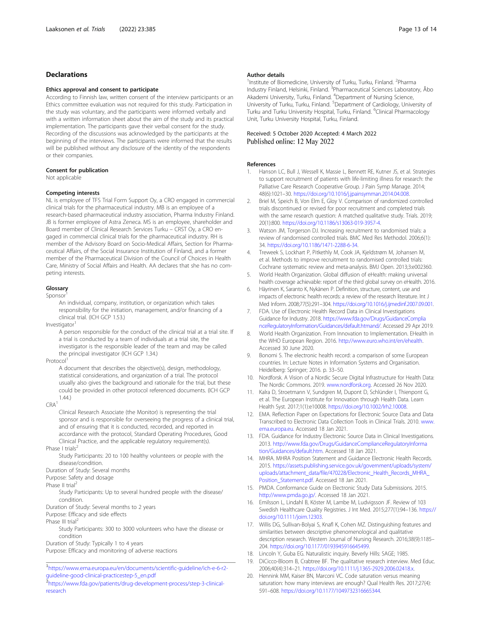## <span id="page-12-0"></span>Declarations

#### Ethics approval and consent to participate

According to Finnish law, written consent of the interview participants or an Ethics committee evaluation was not required for this study. Participation in the study was voluntary, and the participants were informed verbally and with a written information sheet about the aim of the study and its practical implementation. The participants gave their verbal consent for the study. Recording of the discussions was acknowledged by the participants at the beginning of the interviews. The participants were informed that the results will be published without any disclosure of the identity of the respondents or their companies.

#### Consent for publication

Not applicable

## Competing interests

NL is employee of TFS Trial Form Support Oy, a CRO engaged in commercial clinical trials for the pharmaceutical industry. MB is an employee of a research-based pharmaceutical industry association, Pharma Industry Finland. JB is former employee of Astra Zeneca. MS is an employee, shareholder and Board member of Clinical Research Services Turku – CRST Oy, a CRO engaged in commercial clinical trials for the pharmaceutical industry. RH is member of the Advisory Board on Socio-Medical Affairs, Section for Pharmaceutical Affairs, of the Social Insurance Institution of Finland, and a former member of the Pharmaceutical Division of the Council of Choices in Health Care, Ministry of Social Affairs and Health. AA declares that she has no competing interests.

#### Glossary

Sponsor

An individual, company, institution, or organization which takes responsibility for the initiation, management, and/or financing of a clinical trial. (ICH GCP 1.53.)

Investigator

A person responsible for the conduct of the clinical trial at a trial site. If a trial is conducted by a team of individuals at a trial site, the investigator is the responsible leader of the team and may be called the principal investigator (ICH GCP 1.34.)

Protocol

A document that describes the objective(s), design, methodology, statistical considerations, and organization of a trial. The protocol usually also gives the background and rationale for the trial, but these could be provided in other protocol referenced documents. (ICH GCP 1.44.)

 $CRA<sup>1</sup>$ 

Clinical Research Associate (the Monitor) is representing the trial sponsor and is responsible for overseeing the progress of a clinical trial, and of ensuring that it is conducted, recorded, and reported in accordance with the protocol, Standard Operating Procedures, Good Clinical Practice, and the applicable regulatory requirement(s).

Phase I trials<sup>2</sup>

Study Participants: 20 to 100 healthy volunteers or people with the disease/condition.

Duration of Study: Several months

Purpose: Safety and dosage

Phase II trial<sup>2</sup>

Study Participants: Up to several hundred people with the disease/ condition.

Duration of Study: Several months to 2 years

Purpose: Efficacy and side effects

Phase III trial<sup>2</sup>

Study Participants: 300 to 3000 volunteers who have the disease or condition

Duration of Study: Typically 1 to 4 years

Purpose: Efficacy and monitoring of adverse reactions

1 [https://www.ema.europa.eu/en/documents/scientific-guideline/ich-e-6-r2](https://www.ema.europa.eu/en/documents/scientific-guideline/ich-e-6-r2-guideline-good-clinical-practicestep-5_en.pdf) [guideline-good-clinical-practicestep-5\\_en.pdf](https://www.ema.europa.eu/en/documents/scientific-guideline/ich-e-6-r2-guideline-good-clinical-practicestep-5_en.pdf)

#### Author details

<sup>1</sup> Institute of Biomedicine, University of Turku, Turku, Finland. <sup>2</sup> Pharma Industry Finland, Helsinki, Finland. <sup>3</sup>Pharmaceutical Sciences Laboratory, Åbo Akademi University, Turku, Finland. <sup>4</sup>Department of Nursing Science, University of Turku, Turku, Finland. <sup>5</sup>Department of Cardiology, University of Turku and Turku University Hospital, Turku, Finland. <sup>6</sup>Clinical Pharmacology Unit, Turku University Hospital, Turku, Finland.

# Received: 5 October 2020 Accepted: 4 March 2022<br>Published online: 12 May 2022

#### References

- 1. Hanson LC, Bull J, Wessell K, Massie L, Bennett RE, Kutner JS, et al. Strategies to support recruitment of patients with life-limiting illness for research: the Palliative Care Research Cooperative Group. J Pain Symp Manage. 2014; 48(6):1021–30. <https://doi.org/10.1016/j.jpainsymman.2014.04.008>.
- 2. Briel M, Speich B, Von Elm E, Gloy V. Comparison of randomized controlled trials discontinued or revised for poor recruitment and completed trials with the same research question: A matched qualitative study. Trials. 2019; 20(1):800. [https://doi.org/10.1186/s13063-019-3957-4.](https://doi.org/10.1186/s13063-019-3957-4)
- 3. Watson JM, Torgerson DJ. Increasing recruitment to randomised trials: a review of randomised controlled trials. BMC Med Res Methodol. 2006;6(1): 34. [https://doi.org/10.1186/1471-2288-6-34.](https://doi.org/10.1186/1471-2288-6-34)
- 4. Treweek S, Lockhart P, Pitkethly M, Cook JA, Kjeldstrøm M, Johansen M, et al. Methods to improve recruitment to randomised controlled trials: Cochrane systematic review and meta-analysis. BMJ Open. 2013;3:e002360.
- 5. World Health Organization. Global diffusion of eHealth: making universal health coverage achievable: report of the third global survey on eHealth. 2016.
- 6. Häyrinen K, Saranto K, Nykänen P. Definition, structure, content, use and impacts of electronic health records: a review of the research literature. Int J Med Inform. 2008;77(5):291–304. [https://doi.org/10.1016/j.ijmedinf.2007.09.001.](https://doi.org/10.1016/j.ijmedinf.2007.09.001)
- 7. FDA. Use of Electronic Health Record Data in Clinical Investigations Guidance for Industry. 2018. [https://www.fda.gov/Drugs/GuidanceComplia](https://www.fda.gov/Drugs/GuidanceComplianceRegulatoryInformation/Guidances/default.htmand/) [nceRegulatoryInformation/Guidances/default.htmand/](https://www.fda.gov/Drugs/GuidanceComplianceRegulatoryInformation/Guidances/default.htmand/). Accessed 29 Apr 2019.
- 8. World Health Organization. From Innovation to Implementation. EHealth in the WHO European Region. 2016. <http://www.euro.who.int/en/ehealth>. Accessed 30 June 2020.
- 9. Bonomi S. The electronic health record: a comparison of some European countries. In: Lecture Notes in Information Systems and Organisation. Heidelberg: Springer; 2016. p. 33–50.
- 10. Nordforsk. A Vision of a Nordic Secure Digital Infrastructure for Health Data: The Nordic Commons. 2019. [www.nordforsk.org](http://www.nordforsk.org). Accessed 26 Nov 2020.
- 11. Kalra D, Stroetmann V, Sundgren M, Dupont D, Schlünder I, Thienpont G, et al. The European Institute for Innovation through Health Data. Learn Health Syst. 2017;1(1):e10008. <https://doi.org/10.1002/lrh2.10008>.
- 12. EMA. Reflection Paper on Expectations for Electronic Source Data and Data Transcribed to Electronic Data Collection Tools in Clinical Trials. 2010. [www.](http://www.ema.europa.eu) [ema.europa.eu.](http://www.ema.europa.eu) Accessed 18 Jan 2021.
- 13. FDA. Guidance for Industry Electronic Source Data in Clinical Investigations. 2013. [http://www.fda.gov/Drugs/GuidanceComplianceRegulatoryInforma](http://www.fda.gov/Drugs/GuidanceComplianceRegulatoryInformation/Guidances/default.htm) [tion/Guidances/default.htm.](http://www.fda.gov/Drugs/GuidanceComplianceRegulatoryInformation/Guidances/default.htm) Accessed 18 Jan 2021.
- 14. MHRA. MHRA Position Statement and Guidance Electronic Health Records. 2015. [https://assets.publishing.service.gov.uk/government/uploads/system/](https://assets.publishing.service.gov.uk/government/uploads/system/uploads/attachment_data/file/470228/Electronic_Health_Records_MHRA_Position_Statement.pdf) [uploads/attachment\\_data/file/470228/Electronic\\_Health\\_Records\\_MHRA\\_](https://assets.publishing.service.gov.uk/government/uploads/system/uploads/attachment_data/file/470228/Electronic_Health_Records_MHRA_Position_Statement.pdf) [Position\\_Statement.pdf.](https://assets.publishing.service.gov.uk/government/uploads/system/uploads/attachment_data/file/470228/Electronic_Health_Records_MHRA_Position_Statement.pdf) Accessed 18 Jan 2021.
- 15. PMDA. Conformance Guide on Electronic Study Data Submissions. 2015. [http://www.pmda.go.jp/.](http://www.pmda.go.jp/) Accessed 18 Jan 2021.
- 16. Emilsson L, Lindahl B, Köster M, Lambe M, Ludvigsson JF. Review of 103 Swedish Healthcare Quality Registries. J Int Med. 2015;277(1):94–136. [https://](https://doi.org/10.1111/joim.12303) [doi.org/10.1111/joim.12303](https://doi.org/10.1111/joim.12303).
- 17. Willis DG, Sullivan-Bolyai S, Knafl K, Cohen MZ. Distinguishing features and similarities between descriptive phenomenological and qualitative description research. Western Journal of Nursing Research. 2016;38(9):1185– 204. <https://doi.org/10.1177/0193945916645499>.
- 18. Lincoln Y, Guba EG. Naturalistic inquiry. Beverly Hills: SAGE; 1985.
- 19. DiCicco-Bloom B, Crabtree BF. The qualitative research interview. Med Educ. 2006;40(4):314–21. <https://doi.org/10.1111/j.1365-2929.2006.02418.x>.
- 20. Hennink MM, Kaiser BN, Marconi VC. Code saturation versus meaning saturation: how many interviews are enough? Qual Health Res. 2017;27(4): 591–608. [https://doi.org/10.1177/1049732316665344.](https://doi.org/10.1177/1049732316665344)

<sup>2&</sup>lt;br>[https://www.fda.gov/patients/drug-development-process/step-3-clinical](https://www.fda.gov/patients/drug-development-process/step-3-clinical-research)[research](https://www.fda.gov/patients/drug-development-process/step-3-clinical-research)